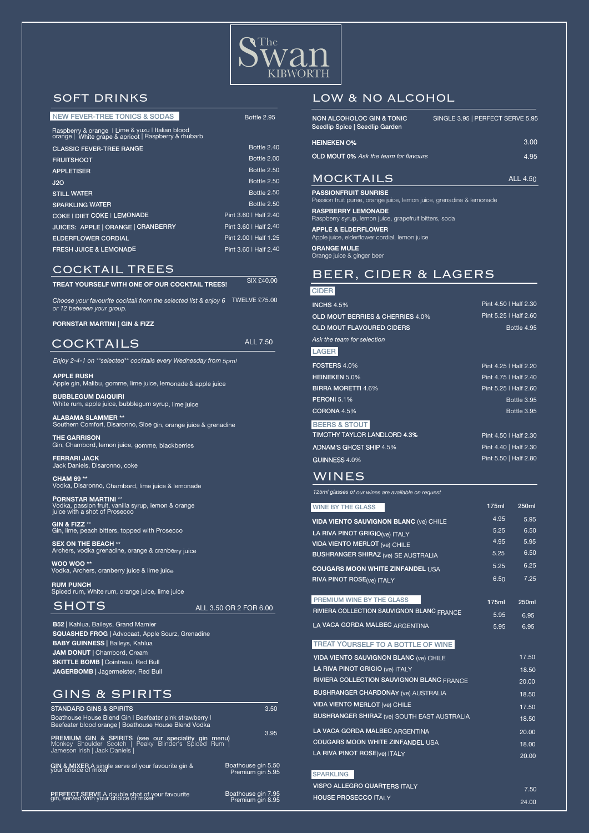

**Bottle 2.95** 

### COCKTAILS

3.50

3.95

**STANDARD GINS & SPIRITS** Boathouse House Blend Gin | Beefeater pink strawberry | Beefeater blood orange | Boathouse House Blend Vodka

**PREMIUM GIN & SPIRITS** (see our speciality gin menu) Monkey Shoulder Scotch | Peaky Blinder's Spiced Rum | Jameson Irish | Jack Daniels |

GIN & MIXER A single serve of your favourite gin &

 Boathouse gin 5.50 Premium gin 5.95

Boathouse gin 7.95 Premium gin 8.95

**PERFECT SERVE** A double shot of your favourite gin, served with your choice of mixer

#### **TREAT YOURSELF TO A BOTTLE OF WINE**

#### **CIDER**

**RUM PUNCH**  Spiced rum, White rum, orange juice, lime juice

### **SHOTS**

Pint 4.40 | Half 2.30 Pint 5.50 | Half 2.80

| <b>WINE BY THE GLASS</b>                      | 175ml | 250ml |
|-----------------------------------------------|-------|-------|
| <b>VIDA VIENTO SAUVIGNON BLANC (Ve) CHILE</b> | 4.95  | 5.95  |
| LA RIVA PINOT GRIGIO(ve) ITALY                | 5.25  | 6.50  |
| <b>VIDA VIENTO MERLOT (Ve) CHILE</b>          | 4.95  | 5.95  |
| <b>BUSHRANGER SHIRAZ</b> (ve) SE AUSTRALIA    | 5.25  | 6.50  |
| <b>COUGARS MOON WHITE ZINFANDEL USA</b>       | 5.25  | 6.25  |
| <b>RIVA PINOT ROSE(Ve) ITALY</b>              | 6.50  | 7.25  |
|                                               |       |       |
| PREMIUM WINE BY THE GLASS                     | 175ml | 250ml |
| RIVIERA COLLECTION SAUVIGNON BLANC FRANCE     | 5.95  | 6.95  |
| LA VACA GORDA MALBEC ARGENTINA                | 5.95  | 6.95  |

*125ml glasses of our wines are available on request*

*Enjoy 2-4-1 on \*\*selected\*\* cocktails every Wednesday from 5pm!*

| <b>NON ALCOHOLOC GIN &amp; TONIC</b><br>Seedlip Spice   Seedlip Garden | SINGLE 3.95   PERFECT SERVE 5.95 |
|------------------------------------------------------------------------|----------------------------------|
| <b>HEINEKEN O%</b>                                                     | 3.00                             |
| <b>OLD MOUT 0%</b> Ask the team for flavours                           | 4.95                             |
| MOCKTAILS                                                              | ALL 4.50                         |
| <b>PASSIONFRUIT SUNRISE</b>                                            |                                  |

**APPLE RUSH** Apple gin, Malibu, gomme, lime juice, lemonade & apple juice

| <b>VIDA VIENTO SAUVIGNON BLANC (ve) CHILE</b>      | 17.50 |
|----------------------------------------------------|-------|
| LA RIVA PINOT GRIGIO (ve) ITALY                    | 18.50 |
| RIVIERA COLLECTION SAUVIGNON BLANC FRANCE          | 20.00 |
| <b>BUSHRANGER CHARDONAY (Ve) AUSTRALIA</b>         | 18.50 |
| <b>VIDA VIENTO MERLOT (Ve) CHILE</b>               | 17.50 |
| <b>BUSHRANGER SHIRAZ</b> (ve) SOUTH EAST AUSTRALIA | 18.50 |
| LA VACA GORDA MALBEC ARGENTINA                     | 20.00 |
| <b>COUGARS MOON WHITE ZINFANDEL USA</b><br>18.00   |       |
| LA RIVA PINOT ROSE(ve) ITALY                       | 20.00 |
| <b>SPARKLING</b>                                   |       |
| <b>VISPO ALLEGRO QUARTERS ITALY</b>                | 7.50  |
| <b>HOUSE PROSECCO ITALY</b>                        | 24.00 |

**BUBBLEGUM DAIQUIRI** White rum, apple juice, bubblegum syrup, lime juice

**ALABAMA SLAMMER \*\***  Southern Comfort, Disaronno, Sloe gin, orange juice & grenadine

**THE GARRISON** Gin, Chambord, lemon juice, gomme, blackberries

| Pint 4.50   Half 2.30 |
|-----------------------|
| Pint 5.25   Half 2.60 |
| Bottle 4.95           |
|                       |
|                       |
| Pint 4.25   Half 2.20 |
| Pint 4.75   Half 2.40 |
| Pint 5.25   Half 2.60 |
| Bottle 3.95           |
| <b>Bottle 3.95</b>    |
|                       |
| Pint 4.50   Half 2.30 |
|                       |

**FERRARI JACK** Jack Daniels, Disaronno, coke

**CHAM 69 \*\*** Vodka, Disaronno, Chambord, lime juice & lemonade

**PORNSTAR MARTINI** \*\* Vodka, passion fruit, vanilla syrup, lemon & orange juice with a shot of Prosecco

**GIN & FIZZ** \*\* Gin, lime, peach bitters, topped with Prosecco

**SEX ON THE BEACH** \*\* Archers, vodka grenadine, orange & cranberry juice

**WOO WOO \*\*** Vodka, Archers, cranberry juice & lime juice

**B52 |** Kahlua, Baileys, Grand Marnier

**SQUASHED FROG |** Advocaat, Apple Sourz, Grenadine **BABY GUINNESS | Baileys, Kahlua JAM DONUT** | Chambord, Cream **SKITTLE BOMB | Cointreau, Red Bull JAGERBOMB |** Jagermeister, Red Bull

| <b>CLASSIC FEVER-TREE RANGE</b>    | Bottle 2.40           |
|------------------------------------|-----------------------|
| <b>FRUITSHOOT</b>                  | Bottle 2.00           |
| <b>APPLETISER</b>                  | Bottle 2.50           |
| J2O                                | Bottle 2.50           |
| <b>STILL WATER</b>                 | Bottle 2.50           |
| <b>SPARKLING WATER</b>             | Bottle 2.50           |
| COKE   DIET COKE   LEMONADE        | Pint 3.60   Half 2.40 |
| JUICES: APPLE   ORANGE   CRANBERRY | Pint 3.60   Half 2.40 |
| <b>ELDERFLOWER CORDIAL</b>         | Pint 2.00   Half 1.25 |
| <b>FRESH JUICE &amp; LEMONADE</b>  | Pint 3.60   Half 2.40 |

### GINS & SPIRITS

#### ALL 3.50 OR 2 FOR 6.00

### LOW & NO ALCOHOL

*Choose your favourite cocktail from the selected list & enjoy 6*  TWELVE £75.00 *or 12 between your group.*

**PORNSTAR MARTINI | GIN & FIZZ** 

SIX £40.00

ADNAM'S GHOST SHIP 4.5%

GUINNESS 4.0%

### WINES

### SOFT DRINKS

| <b>NEW FEVER-TREE TONICS &amp; SODAS</b> |  |
|------------------------------------------|--|
|                                          |  |

Passion fruit puree, orange juice, lemon juice, grenadine & lemonade

**RASPBERRY LEMONADE** Raspberry syrup, lemon juice, grapefruit bitters, soda

**APPLE & ELDERFLOWER** Apple juice, elderflower cordial, lemon juice

**ORANGE MULE** Orange juice & ginger beer

## BEER, CIDER & LAGERS

Raspberry & orange <sup>|</sup> Lime & yuzu <sup>|</sup> Italian blood orange | White grape & apricot | Raspberry & rhubarb

### COCKTAIL TREES

ALL 7.50